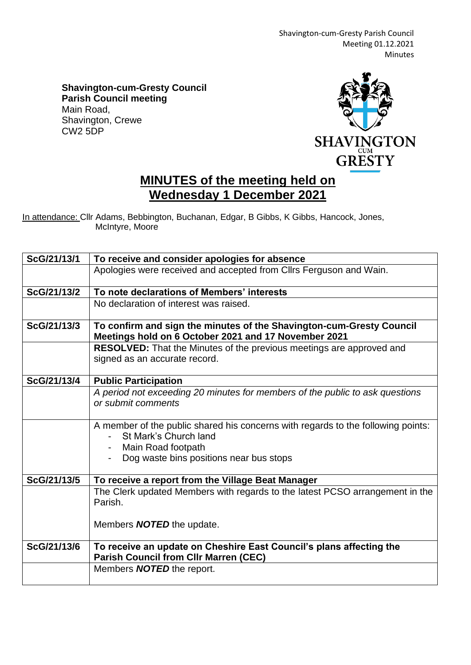Shavington-cum-Gresty Parish Council Meeting 01.12.2021 Minutes

**Shavington-cum-Gresty Council Parish Council meeting** Main Road, Shavington, Crewe CW2 5DP



## **MINUTES of the meeting held on Wednesday 1 December 2021**

In attendance: Cllr Adams, Bebbington, Buchanan, Edgar, B Gibbs, K Gibbs, Hancock, Jones, McIntyre, Moore

| ScG/21/13/1 | To receive and consider apologies for absence                                                                                |
|-------------|------------------------------------------------------------------------------------------------------------------------------|
|             | Apologies were received and accepted from Cllrs Ferguson and Wain.                                                           |
| ScG/21/13/2 | To note declarations of Members' interests                                                                                   |
|             | No declaration of interest was raised.                                                                                       |
| ScG/21/13/3 | To confirm and sign the minutes of the Shavington-cum-Gresty Council<br>Meetings hold on 6 October 2021 and 17 November 2021 |
|             | <b>RESOLVED:</b> That the Minutes of the previous meetings are approved and                                                  |
|             | signed as an accurate record.                                                                                                |
| ScG/21/13/4 | <b>Public Participation</b>                                                                                                  |
|             | A period not exceeding 20 minutes for members of the public to ask questions                                                 |
|             | or submit comments                                                                                                           |
|             | A member of the public shared his concerns with regards to the following points:                                             |
|             | St Mark's Church land                                                                                                        |
|             | - Main Road footpath                                                                                                         |
|             | Dog waste bins positions near bus stops                                                                                      |
| ScG/21/13/5 | To receive a report from the Village Beat Manager                                                                            |
|             | The Clerk updated Members with regards to the latest PCSO arrangement in the<br>Parish.                                      |
|             | Members <b>NOTED</b> the update.                                                                                             |
| ScG/21/13/6 | To receive an update on Cheshire East Council's plans affecting the<br><b>Parish Council from Cllr Marren (CEC)</b>          |
|             | Members <b>NOTED</b> the report.                                                                                             |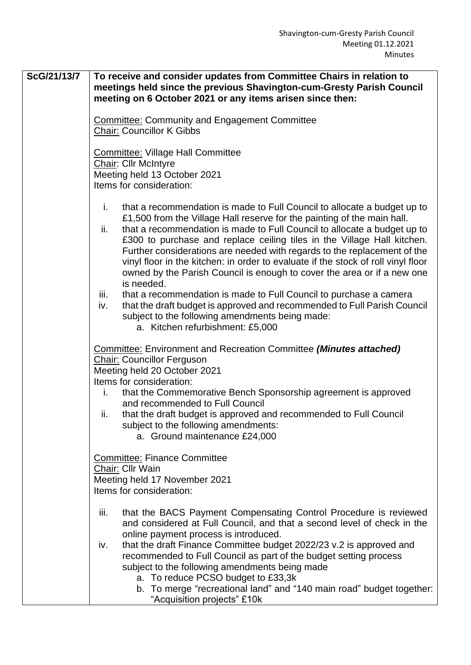**ScG/21/13/7 To receive and consider updates from Committee Chairs in relation to meetings held since the previous Shavington-cum-Gresty Parish Council meeting on 6 October 2021 or any items arisen since then:** Committee: Community and Engagement Committee Chair: Councillor K Gibbs Committee: Village Hall Committee Chair: Cllr McIntyre Meeting held 13 October 2021 Items for consideration: i. that a recommendation is made to Full Council to allocate a budget up to £1,500 from the Village Hall reserve for the painting of the main hall. ii. that a recommendation is made to Full Council to allocate a budget up to £300 to purchase and replace ceiling tiles in the Village Hall kitchen. Further considerations are needed with regards to the replacement of the vinyl floor in the kitchen: in order to evaluate if the stock of roll vinyl floor owned by the Parish Council is enough to cover the area or if a new one is needed. iii. that a recommendation is made to Full Council to purchase a camera iv. that the draft budget is approved and recommended to Full Parish Council subject to the following amendments being made: a. Kitchen refurbishment: £5,000 Committee: Environment and Recreation Committee *(Minutes attached)* Chair: Councillor Ferguson Meeting held 20 October 2021 Items for consideration: i. that the Commemorative Bench Sponsorship agreement is approved and recommended to Full Council ii. that the draft budget is approved and recommended to Full Council subject to the following amendments: a. Ground maintenance £24,000 Committee: Finance Committee Chair: Cllr Wain Meeting held 17 November 2021 Items for consideration: iii. that the BACS Payment Compensating Control Procedure is reviewed and considered at Full Council, and that a second level of check in the online payment process is introduced. iv. that the draft Finance Committee budget 2022/23 v.2 is approved and recommended to Full Council as part of the budget setting process subject to the following amendments being made a. To reduce PCSO budget to £33,3k b. To merge "recreational land" and "140 main road" budget together: "Acquisition projects" £10k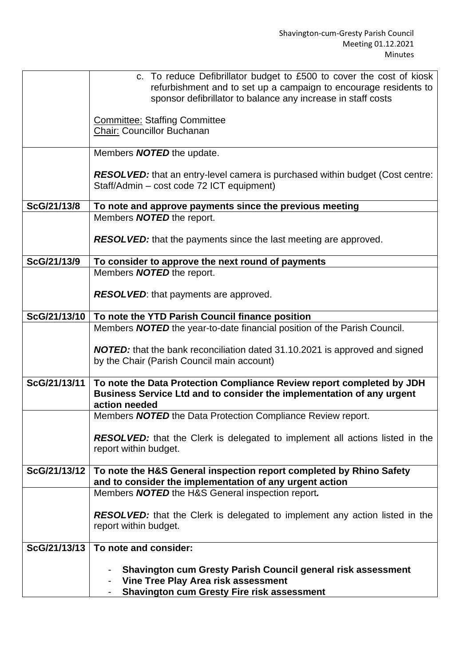|              | c. To reduce Defibrillator budget to £500 to cover the cost of kiosk<br>refurbishment and to set up a campaign to encourage residents to       |
|--------------|------------------------------------------------------------------------------------------------------------------------------------------------|
|              | sponsor defibrillator to balance any increase in staff costs                                                                                   |
|              | <b>Committee: Staffing Committee</b>                                                                                                           |
|              | Chair: Councillor Buchanan                                                                                                                     |
|              | Members <b>NOTED</b> the update.                                                                                                               |
|              |                                                                                                                                                |
|              | <b>RESOLVED:</b> that an entry-level camera is purchased within budget (Cost centre:                                                           |
|              | Staff/Admin - cost code 72 ICT equipment)                                                                                                      |
| ScG/21/13/8  | To note and approve payments since the previous meeting                                                                                        |
|              | Members <b>NOTED</b> the report.                                                                                                               |
|              | <b>RESOLVED:</b> that the payments since the last meeting are approved.                                                                        |
|              |                                                                                                                                                |
| ScG/21/13/9  | To consider to approve the next round of payments                                                                                              |
|              | Members <b>NOTED</b> the report.                                                                                                               |
|              | <b>RESOLVED:</b> that payments are approved.                                                                                                   |
|              |                                                                                                                                                |
| ScG/21/13/10 | To note the YTD Parish Council finance position                                                                                                |
|              | Members <b>NOTED</b> the year-to-date financial position of the Parish Council.                                                                |
|              | <b>NOTED:</b> that the bank reconciliation dated 31.10.2021 is approved and signed                                                             |
|              | by the Chair (Parish Council main account)                                                                                                     |
| ScG/21/13/11 |                                                                                                                                                |
|              | To note the Data Protection Compliance Review report completed by JDH<br>Business Service Ltd and to consider the implementation of any urgent |
|              | action needed                                                                                                                                  |
|              | Members <b>NOTED</b> the Data Protection Compliance Review report.                                                                             |
|              | <b>RESOLVED:</b> that the Clerk is delegated to implement all actions listed in the                                                            |
|              | report within budget.                                                                                                                          |
|              |                                                                                                                                                |
| ScG/21/13/12 | To note the H&S General inspection report completed by Rhino Safety<br>and to consider the implementation of any urgent action                 |
|              | Members NOTED the H&S General inspection report.                                                                                               |
|              |                                                                                                                                                |
|              | RESOLVED: that the Clerk is delegated to implement any action listed in the<br>report within budget.                                           |
|              |                                                                                                                                                |
| ScG/21/13/13 | To note and consider:                                                                                                                          |
|              | <b>Shavington cum Gresty Parish Council general risk assessment</b><br>$\qquad \qquad \blacksquare$                                            |
|              | Vine Tree Play Area risk assessment                                                                                                            |
|              | <b>Shavington cum Gresty Fire risk assessment</b>                                                                                              |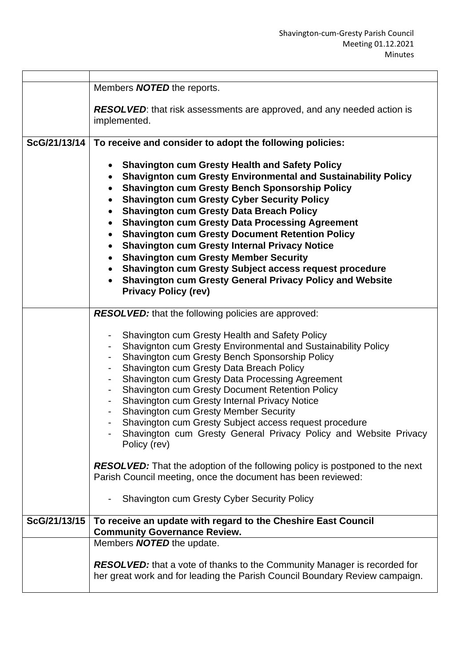|              | Members <b>NOTED</b> the reports.                                                                                                                                                                                                                                                                                                                                                                                                                                                                                                                                                                                                                                                                                                                                                                                   |
|--------------|---------------------------------------------------------------------------------------------------------------------------------------------------------------------------------------------------------------------------------------------------------------------------------------------------------------------------------------------------------------------------------------------------------------------------------------------------------------------------------------------------------------------------------------------------------------------------------------------------------------------------------------------------------------------------------------------------------------------------------------------------------------------------------------------------------------------|
|              |                                                                                                                                                                                                                                                                                                                                                                                                                                                                                                                                                                                                                                                                                                                                                                                                                     |
|              | <b>RESOLVED:</b> that risk assessments are approved, and any needed action is<br>implemented.                                                                                                                                                                                                                                                                                                                                                                                                                                                                                                                                                                                                                                                                                                                       |
|              |                                                                                                                                                                                                                                                                                                                                                                                                                                                                                                                                                                                                                                                                                                                                                                                                                     |
| ScG/21/13/14 | To receive and consider to adopt the following policies:                                                                                                                                                                                                                                                                                                                                                                                                                                                                                                                                                                                                                                                                                                                                                            |
|              | <b>Shavington cum Gresty Health and Safety Policy</b><br><b>Shavignton cum Gresty Environmental and Sustainability Policy</b><br>$\bullet$<br><b>Shavington cum Gresty Bench Sponsorship Policy</b><br>$\bullet$<br><b>Shavington cum Gresty Cyber Security Policy</b><br>$\bullet$<br><b>Shavington cum Gresty Data Breach Policy</b><br>$\bullet$<br><b>Shavington cum Gresty Data Processing Agreement</b><br>$\bullet$<br><b>Shavington cum Gresty Document Retention Policy</b><br>$\bullet$<br><b>Shavington cum Gresty Internal Privacy Notice</b><br>$\bullet$<br><b>Shavington cum Gresty Member Security</b><br>$\bullet$<br><b>Shavington cum Gresty Subject access request procedure</b><br>$\bullet$<br><b>Shavington cum Gresty General Privacy Policy and Website</b><br><b>Privacy Policy (rev)</b> |
|              | RESOLVED: that the following policies are approved:                                                                                                                                                                                                                                                                                                                                                                                                                                                                                                                                                                                                                                                                                                                                                                 |
|              | Shavington cum Gresty Health and Safety Policy<br>Shavignton cum Gresty Environmental and Sustainability Policy<br>Shavington cum Gresty Bench Sponsorship Policy<br>Shavington cum Gresty Data Breach Policy<br>Shavington cum Gresty Data Processing Agreement<br>$\blacksquare$<br><b>Shavington cum Gresty Document Retention Policy</b><br>Shavington cum Gresty Internal Privacy Notice<br><b>Shavington cum Gresty Member Security</b><br>Shavington cum Gresty Subject access request procedure<br>Shavington cum Gresty General Privacy Policy and Website Privacy<br>Policy (rev)<br><b>RESOLVED:</b> That the adoption of the following policy is postponed to the next<br>Parish Council meeting, once the document has been reviewed:<br><b>Shavington cum Gresty Cyber Security Policy</b>            |
| ScG/21/13/15 | To receive an update with regard to the Cheshire East Council                                                                                                                                                                                                                                                                                                                                                                                                                                                                                                                                                                                                                                                                                                                                                       |
|              | <b>Community Governance Review.</b><br>Members <b>NOTED</b> the update.                                                                                                                                                                                                                                                                                                                                                                                                                                                                                                                                                                                                                                                                                                                                             |
|              |                                                                                                                                                                                                                                                                                                                                                                                                                                                                                                                                                                                                                                                                                                                                                                                                                     |
|              | <b>RESOLVED:</b> that a vote of thanks to the Community Manager is recorded for<br>her great work and for leading the Parish Council Boundary Review campaign.                                                                                                                                                                                                                                                                                                                                                                                                                                                                                                                                                                                                                                                      |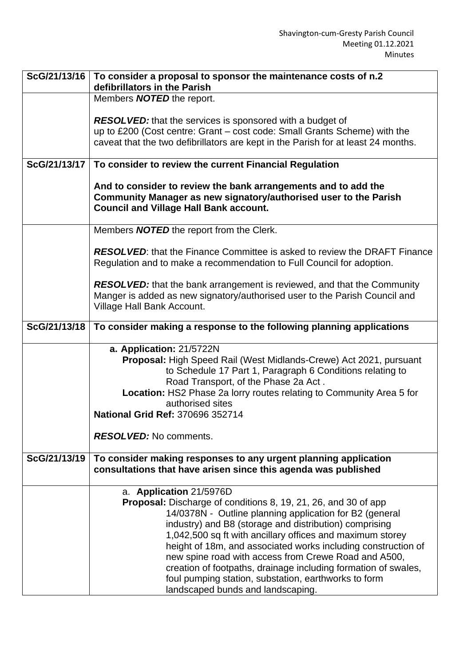| ScG/21/13/16 | To consider a proposal to sponsor the maintenance costs of n.2<br>defibrillators in the Parish                                     |
|--------------|------------------------------------------------------------------------------------------------------------------------------------|
|              | Members <b>NOTED</b> the report.                                                                                                   |
|              |                                                                                                                                    |
|              | <b>RESOLVED:</b> that the services is sponsored with a budget of                                                                   |
|              | up to £200 (Cost centre: Grant - cost code: Small Grants Scheme) with the                                                          |
|              | caveat that the two defibrillators are kept in the Parish for at least 24 months.                                                  |
|              |                                                                                                                                    |
| ScG/21/13/17 | To consider to review the current Financial Regulation                                                                             |
|              |                                                                                                                                    |
|              | And to consider to review the bank arrangements and to add the<br>Community Manager as new signatory/authorised user to the Parish |
|              | <b>Council and Village Hall Bank account.</b>                                                                                      |
|              |                                                                                                                                    |
|              | Members <b>NOTED</b> the report from the Clerk.                                                                                    |
|              |                                                                                                                                    |
|              | <b>RESOLVED:</b> that the Finance Committee is asked to review the DRAFT Finance                                                   |
|              | Regulation and to make a recommendation to Full Council for adoption.                                                              |
|              | <b>RESOLVED:</b> that the bank arrangement is reviewed, and that the Community                                                     |
|              | Manger is added as new signatory/authorised user to the Parish Council and                                                         |
|              | Village Hall Bank Account.                                                                                                         |
|              |                                                                                                                                    |
| ScG/21/13/18 | To consider making a response to the following planning applications                                                               |
|              | a. Application: 21/5722N                                                                                                           |
|              | <b>Proposal:</b> High Speed Rail (West Midlands-Crewe) Act 2021, pursuant                                                          |
|              | to Schedule 17 Part 1, Paragraph 6 Conditions relating to                                                                          |
|              | Road Transport, of the Phase 2a Act.                                                                                               |
|              | Location: HS2 Phase 2a lorry routes relating to Community Area 5 for                                                               |
|              | authorised sites                                                                                                                   |
|              | <b>National Grid Ref: 370696 352714</b>                                                                                            |
|              | <b>RESOLVED:</b> No comments.                                                                                                      |
|              |                                                                                                                                    |
| ScG/21/13/19 | To consider making responses to any urgent planning application                                                                    |
|              | consultations that have arisen since this agenda was published                                                                     |
|              |                                                                                                                                    |
|              | a. Application 21/5976D                                                                                                            |
|              | <b>Proposal:</b> Discharge of conditions 8, 19, 21, 26, and 30 of app<br>14/0378N - Outline planning application for B2 (general   |
|              | industry) and B8 (storage and distribution) comprising                                                                             |
|              | 1,042,500 sq ft with ancillary offices and maximum storey                                                                          |
|              | height of 18m, and associated works including construction of                                                                      |
|              | new spine road with access from Crewe Road and A500,                                                                               |
|              | creation of footpaths, drainage including formation of swales,                                                                     |
|              | foul pumping station, substation, earthworks to form                                                                               |
|              | landscaped bunds and landscaping.                                                                                                  |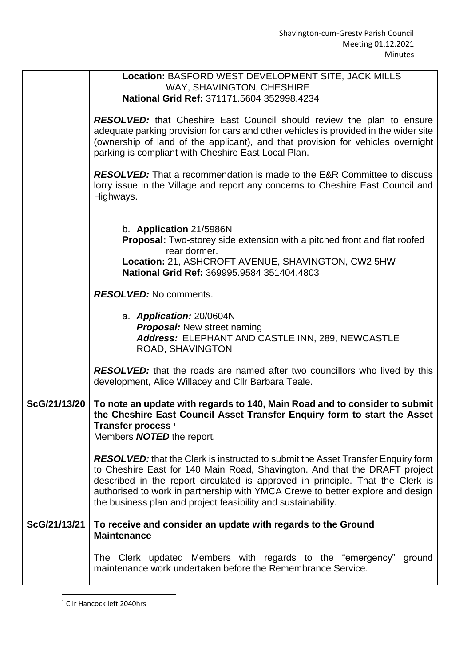٦

|              | Location: BASFORD WEST DEVELOPMENT SITE, JACK MILLS<br>WAY, SHAVINGTON, CHESHIRE<br>National Grid Ref: 371171.5604 352998.4234                                                                                                                                                                                                                                                                             |
|--------------|------------------------------------------------------------------------------------------------------------------------------------------------------------------------------------------------------------------------------------------------------------------------------------------------------------------------------------------------------------------------------------------------------------|
|              | RESOLVED: that Cheshire East Council should review the plan to ensure<br>adequate parking provision for cars and other vehicles is provided in the wider site<br>(ownership of land of the applicant), and that provision for vehicles overnight<br>parking is compliant with Cheshire East Local Plan.                                                                                                    |
|              | <b>RESOLVED:</b> That a recommendation is made to the E&R Committee to discuss<br>lorry issue in the Village and report any concerns to Cheshire East Council and<br>Highways.                                                                                                                                                                                                                             |
|              | b. Application 21/5986N<br><b>Proposal:</b> Two-storey side extension with a pitched front and flat roofed<br>rear dormer.<br>Location: 21, ASHCROFT AVENUE, SHAVINGTON, CW2 5HW<br>National Grid Ref: 369995.9584 351404.4803                                                                                                                                                                             |
|              | <b>RESOLVED:</b> No comments.                                                                                                                                                                                                                                                                                                                                                                              |
|              | a. Application: 20/0604N<br><b>Proposal:</b> New street naming<br>Address: ELEPHANT AND CASTLE INN, 289, NEWCASTLE<br><b>ROAD, SHAVINGTON</b>                                                                                                                                                                                                                                                              |
|              | <b>RESOLVED:</b> that the roads are named after two councillors who lived by this<br>development, Alice Willacey and Cllr Barbara Teale.                                                                                                                                                                                                                                                                   |
| ScG/21/13/20 | To note an update with regards to 140, Main Road and to consider to submit<br>the Cheshire East Council Asset Transfer Enquiry form to start the Asset<br>Transfer process <sup>1</sup>                                                                                                                                                                                                                    |
|              | Members <b>NOTED</b> the report.                                                                                                                                                                                                                                                                                                                                                                           |
|              | <b>RESOLVED:</b> that the Clerk is instructed to submit the Asset Transfer Enquiry form<br>to Cheshire East for 140 Main Road, Shavington. And that the DRAFT project<br>described in the report circulated is approved in principle. That the Clerk is<br>authorised to work in partnership with YMCA Crewe to better explore and design<br>the business plan and project feasibility and sustainability. |
| ScG/21/13/21 | To receive and consider an update with regards to the Ground<br><b>Maintenance</b>                                                                                                                                                                                                                                                                                                                         |
|              | The Clerk updated Members with regards to the "emergency"<br>ground<br>maintenance work undertaken before the Remembrance Service.                                                                                                                                                                                                                                                                         |

<sup>&</sup>lt;sup>1</sup> Cllr Hancock left 2040hrs

**F**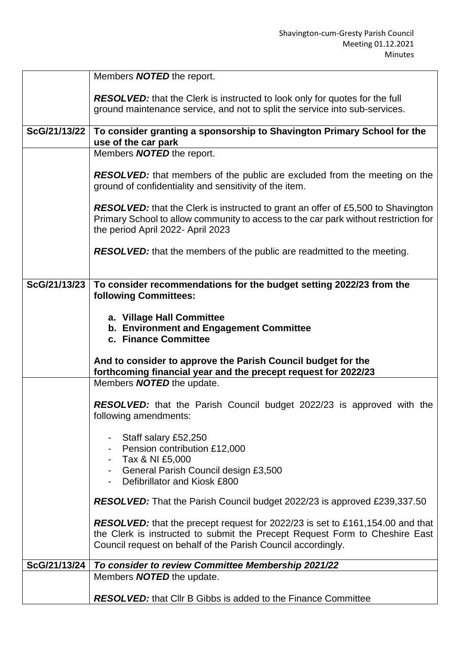|              | Members <b>NOTED</b> the report.                                                                                                                                                                                                    |
|--------------|-------------------------------------------------------------------------------------------------------------------------------------------------------------------------------------------------------------------------------------|
|              | <b>RESOLVED:</b> that the Clerk is instructed to look only for quotes for the full<br>ground maintenance service, and not to split the service into sub-services.                                                                   |
| ScG/21/13/22 | To consider granting a sponsorship to Shavington Primary School for the<br>use of the car park                                                                                                                                      |
|              | Members <b>NOTED</b> the report.                                                                                                                                                                                                    |
|              | <b>RESOLVED:</b> that members of the public are excluded from the meeting on the<br>ground of confidentiality and sensitivity of the item.                                                                                          |
|              | <b>RESOLVED:</b> that the Clerk is instructed to grant an offer of £5,500 to Shavington<br>Primary School to allow community to access to the car park without restriction for<br>the period April 2022- April 2023                 |
|              | <b>RESOLVED:</b> that the members of the public are readmitted to the meeting.                                                                                                                                                      |
| ScG/21/13/23 | To consider recommendations for the budget setting 2022/23 from the<br><b>following Committees:</b>                                                                                                                                 |
|              | a. Village Hall Committee<br>b. Environment and Engagement Committee<br>c. Finance Committee                                                                                                                                        |
|              | And to consider to approve the Parish Council budget for the<br>forthcoming financial year and the precept request for 2022/23                                                                                                      |
|              | Members <b>NOTED</b> the update.                                                                                                                                                                                                    |
|              | <b>RESOLVED:</b> that the Parish Council budget 2022/23 is approved with the<br>following amendments:                                                                                                                               |
|              | Staff salary £52,250<br>Pension contribution £12,000<br>Tax & NI £5,000                                                                                                                                                             |
|              | General Parish Council design £3,500<br>Defibrillator and Kiosk £800                                                                                                                                                                |
|              | <b>RESOLVED:</b> That the Parish Council budget 2022/23 is approved £239,337.50                                                                                                                                                     |
|              | <b>RESOLVED:</b> that the precept request for 2022/23 is set to £161,154.00 and that<br>the Clerk is instructed to submit the Precept Request Form to Cheshire East<br>Council request on behalf of the Parish Council accordingly. |
| ScG/21/13/24 | To consider to review Committee Membership 2021/22                                                                                                                                                                                  |
|              | Members <b>NOTED</b> the update.                                                                                                                                                                                                    |
|              | <b>RESOLVED:</b> that Cllr B Gibbs is added to the Finance Committee                                                                                                                                                                |